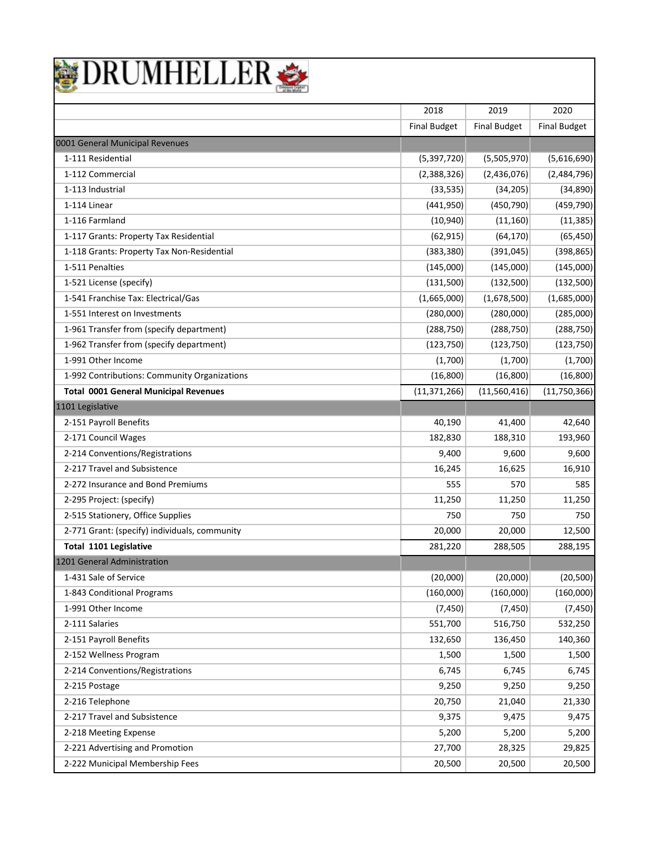

|                                               | 2018                | 2019                | 2020                |
|-----------------------------------------------|---------------------|---------------------|---------------------|
|                                               | <b>Final Budget</b> | <b>Final Budget</b> | <b>Final Budget</b> |
| 0001 General Municipal Revenues               |                     |                     |                     |
| 1-111 Residential                             | (5, 397, 720)       | (5,505,970)         | (5,616,690)         |
| 1-112 Commercial                              | (2,388,326)         | (2,436,076)         | (2,484,796)         |
| 1-113 Industrial                              | (33, 535)           | (34, 205)           | (34, 890)           |
| 1-114 Linear                                  | (441,950)           | (450, 790)          | (459, 790)          |
| 1-116 Farmland                                | (10, 940)           | (11, 160)           | (11, 385)           |
| 1-117 Grants: Property Tax Residential        | (62, 915)           | (64, 170)           | (65, 450)           |
| 1-118 Grants: Property Tax Non-Residential    | (383, 380)          | (391, 045)          | (398, 865)          |
| 1-511 Penalties                               | (145,000)           | (145,000)           | (145,000)           |
| 1-521 License (specify)                       | (131,500)           | (132,500)           | (132,500)           |
| 1-541 Franchise Tax: Electrical/Gas           | (1,665,000)         | (1,678,500)         | (1,685,000)         |
| 1-551 Interest on Investments                 | (280,000)           | (280,000)           | (285,000)           |
| 1-961 Transfer from (specify department)      | (288, 750)          | (288, 750)          | (288, 750)          |
| 1-962 Transfer from (specify department)      | (123, 750)          | (123, 750)          | (123, 750)          |
| 1-991 Other Income                            | (1,700)             | (1,700)             | (1,700)             |
| 1-992 Contributions: Community Organizations  | (16, 800)           | (16, 800)           | (16, 800)           |
| <b>Total 0001 General Municipal Revenues</b>  | (11, 371, 266)      | (11,560,416)        | (11,750,366)        |
| 1101 Legislative                              |                     |                     |                     |
| 2-151 Payroll Benefits                        | 40,190              | 41,400              | 42,640              |
| 2-171 Council Wages                           | 182,830             | 188,310             | 193,960             |
| 2-214 Conventions/Registrations               | 9,400               | 9,600               | 9,600               |
| 2-217 Travel and Subsistence                  | 16,245              | 16,625              | 16,910              |
| 2-272 Insurance and Bond Premiums             | 555                 | 570                 | 585                 |
| 2-295 Project: (specify)                      | 11,250              | 11,250              | 11,250              |
| 2-515 Stationery, Office Supplies             | 750                 | 750                 | 750                 |
| 2-771 Grant: (specify) individuals, community | 20,000              | 20,000              | 12,500              |
| <b>Total 1101 Legislative</b>                 | 281,220             | 288,505             | 288,195             |
| 1201 General Administration                   |                     |                     |                     |
| 1-431 Sale of Service                         | (20,000)            | (20,000)            | (20, 500)           |
| 1-843 Conditional Programs                    | (160,000)           | (160,000)           | (160,000)           |
| 1-991 Other Income                            | (7, 450)            | (7, 450)            | (7, 450)            |
| 2-111 Salaries                                | 551,700             | 516,750             | 532,250             |
| 2-151 Payroll Benefits                        | 132,650             | 136,450             | 140,360             |
| 2-152 Wellness Program                        | 1,500               | 1,500               | 1,500               |
| 2-214 Conventions/Registrations               | 6,745               | 6,745               | 6,745               |
| 2-215 Postage                                 | 9,250               | 9,250               | 9,250               |
| 2-216 Telephone                               | 20,750              | 21,040              | 21,330              |
| 2-217 Travel and Subsistence                  | 9,375               | 9,475               | 9,475               |
| 2-218 Meeting Expense                         | 5,200               | 5,200               | 5,200               |
| 2-221 Advertising and Promotion               | 27,700              | 28,325              | 29,825              |
| 2-222 Municipal Membership Fees               | 20,500              | 20,500              | 20,500              |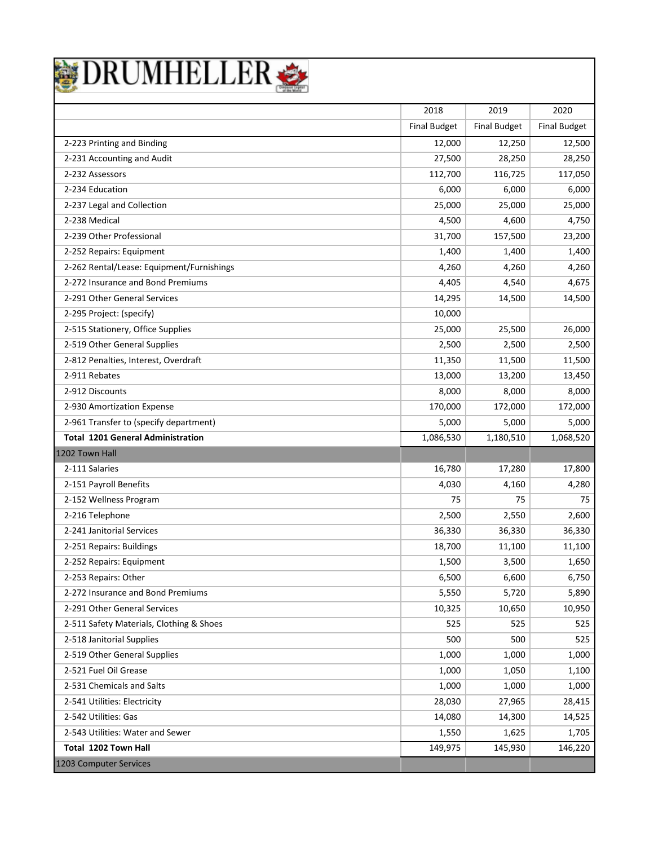

|                                           | 2018                | 2019                | 2020                |
|-------------------------------------------|---------------------|---------------------|---------------------|
|                                           | <b>Final Budget</b> | <b>Final Budget</b> | <b>Final Budget</b> |
| 2-223 Printing and Binding                | 12,000              | 12,250              | 12,500              |
| 2-231 Accounting and Audit                | 27,500              | 28,250              | 28,250              |
| 2-232 Assessors                           | 112,700             | 116,725             | 117,050             |
| 2-234 Education                           | 6,000               | 6,000               | 6,000               |
| 2-237 Legal and Collection                | 25,000              | 25,000              | 25,000              |
| 2-238 Medical                             | 4,500               | 4,600               | 4,750               |
| 2-239 Other Professional                  | 31,700              | 157,500             | 23,200              |
| 2-252 Repairs: Equipment                  | 1,400               | 1,400               | 1,400               |
| 2-262 Rental/Lease: Equipment/Furnishings | 4,260               | 4,260               | 4,260               |
| 2-272 Insurance and Bond Premiums         | 4,405               | 4,540               | 4,675               |
| 2-291 Other General Services              | 14,295              | 14,500              | 14,500              |
| 2-295 Project: (specify)                  | 10,000              |                     |                     |
| 2-515 Stationery, Office Supplies         | 25,000              | 25,500              | 26,000              |
| 2-519 Other General Supplies              | 2,500               | 2,500               | 2,500               |
| 2-812 Penalties, Interest, Overdraft      | 11,350              | 11,500              | 11,500              |
| 2-911 Rebates                             | 13,000              | 13,200              | 13,450              |
| 2-912 Discounts                           | 8,000               | 8,000               | 8,000               |
| 2-930 Amortization Expense                | 170,000             | 172,000             | 172,000             |
| 2-961 Transfer to (specify department)    | 5,000               | 5,000               | 5,000               |
| <b>Total 1201 General Administration</b>  | 1,086,530           | 1,180,510           | 1,068,520           |
| 1202 Town Hall                            |                     |                     |                     |
| 2-111 Salaries                            | 16,780              | 17,280              | 17,800              |
| 2-151 Payroll Benefits                    | 4,030               | 4,160               | 4,280               |
| 2-152 Wellness Program                    | 75                  | 75                  | 75                  |
| 2-216 Telephone                           | 2,500               | 2,550               | 2,600               |
| 2-241 Janitorial Services                 | 36,330              | 36,330              | 36,330              |
| 2-251 Repairs: Buildings                  | 18,700              | 11,100              | 11,100              |
| 2-252 Repairs: Equipment                  | 1,500               | 3,500               | 1,650               |
| 2-253 Repairs: Other                      | 6,500               | 6,600               | 6,750               |
| 2-272 Insurance and Bond Premiums         | 5,550               | 5,720               | 5,890               |
| 2-291 Other General Services              | 10,325              | 10,650              | 10,950              |
| 2-511 Safety Materials, Clothing & Shoes  | 525                 | 525                 | 525                 |
| 2-518 Janitorial Supplies                 | 500                 | 500                 | 525                 |
| 2-519 Other General Supplies              | 1,000               | 1,000               | 1,000               |
| 2-521 Fuel Oil Grease                     | 1,000               | 1,050               | 1,100               |
| 2-531 Chemicals and Salts                 | 1,000               | 1,000               | 1,000               |
| 2-541 Utilities: Electricity              | 28,030              | 27,965              | 28,415              |
| 2-542 Utilities: Gas                      | 14,080              | 14,300              | 14,525              |
| 2-543 Utilities: Water and Sewer          | 1,550               | 1,625               | 1,705               |
| Total 1202 Town Hall                      | 149,975             | 145,930             | 146,220             |
| 1203 Computer Services                    |                     |                     |                     |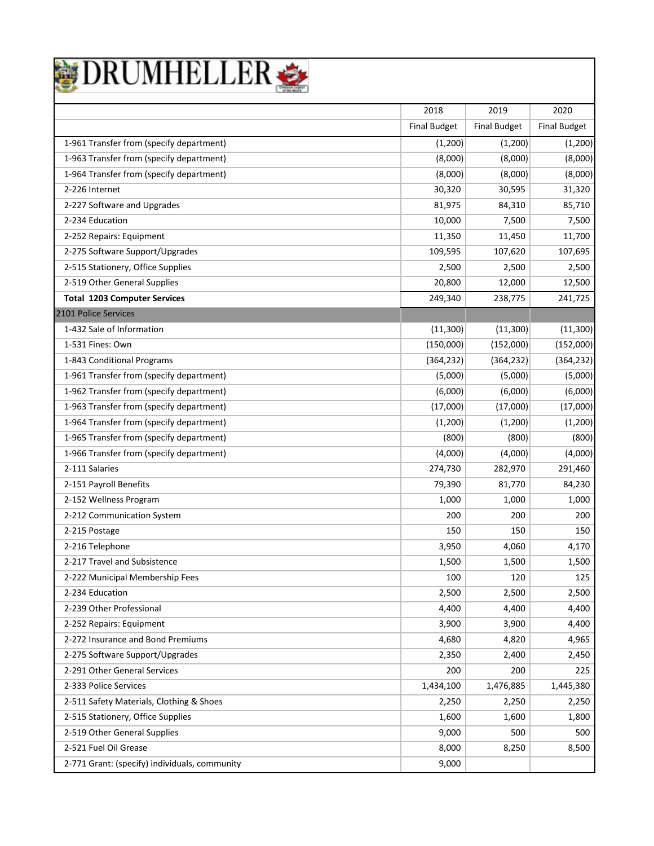

| 2019<br>2020<br>2018<br><b>Final Budget</b><br><b>Final Budget</b><br><b>Final Budget</b><br>1-961 Transfer from (specify department)<br>(1,200)<br>(1,200)<br>(1,200)<br>1-963 Transfer from (specify department)<br>(8,000)<br>(8,000)<br>(8,000)<br>1-964 Transfer from (specify department)<br>(8,000)<br>(8,000)<br>(8,000)<br>2-226 Internet<br>30,320<br>30,595<br>31,320 |
|----------------------------------------------------------------------------------------------------------------------------------------------------------------------------------------------------------------------------------------------------------------------------------------------------------------------------------------------------------------------------------|
|                                                                                                                                                                                                                                                                                                                                                                                  |
|                                                                                                                                                                                                                                                                                                                                                                                  |
|                                                                                                                                                                                                                                                                                                                                                                                  |
|                                                                                                                                                                                                                                                                                                                                                                                  |
|                                                                                                                                                                                                                                                                                                                                                                                  |
|                                                                                                                                                                                                                                                                                                                                                                                  |
| 2-227 Software and Upgrades<br>85,710<br>81,975<br>84,310                                                                                                                                                                                                                                                                                                                        |
| 2-234 Education<br>10,000<br>7,500<br>7,500                                                                                                                                                                                                                                                                                                                                      |
| 11,350<br>11,700<br>2-252 Repairs: Equipment<br>11,450                                                                                                                                                                                                                                                                                                                           |
| 2-275 Software Support/Upgrades<br>107,695<br>109,595<br>107,620                                                                                                                                                                                                                                                                                                                 |
| 2-515 Stationery, Office Supplies<br>2,500<br>2,500<br>2,500                                                                                                                                                                                                                                                                                                                     |
| 2-519 Other General Supplies<br>20,800<br>12,500<br>12,000                                                                                                                                                                                                                                                                                                                       |
| <b>Total 1203 Computer Services</b><br>249,340<br>238,775<br>241,725                                                                                                                                                                                                                                                                                                             |
| 2101 Police Services                                                                                                                                                                                                                                                                                                                                                             |
| 1-432 Sale of Information<br>(11, 300)<br>(11, 300)<br>(11, 300)                                                                                                                                                                                                                                                                                                                 |
| 1-531 Fines: Own<br>(150,000)<br>(152,000)<br>(152,000)                                                                                                                                                                                                                                                                                                                          |
| 1-843 Conditional Programs<br>(364, 232)<br>(364, 232)<br>(364, 232)                                                                                                                                                                                                                                                                                                             |
| 1-961 Transfer from (specify department)<br>(5,000)<br>(5,000)<br>(5,000)                                                                                                                                                                                                                                                                                                        |
| 1-962 Transfer from (specify department)<br>(6,000)<br>(6,000)<br>(6,000)                                                                                                                                                                                                                                                                                                        |
| 1-963 Transfer from (specify department)<br>(17,000)<br>(17,000)<br>(17,000)                                                                                                                                                                                                                                                                                                     |
| 1-964 Transfer from (specify department)<br>(1,200)<br>(1,200)<br>(1,200)                                                                                                                                                                                                                                                                                                        |
| 1-965 Transfer from (specify department)<br>(800)<br>(800)<br>(800)                                                                                                                                                                                                                                                                                                              |
| 1-966 Transfer from (specify department)<br>(4,000)<br>(4,000)<br>(4,000)                                                                                                                                                                                                                                                                                                        |
| 2-111 Salaries<br>274,730<br>282,970<br>291,460                                                                                                                                                                                                                                                                                                                                  |
| 2-151 Payroll Benefits<br>79,390<br>84,230<br>81,770                                                                                                                                                                                                                                                                                                                             |
| 2-152 Wellness Program<br>1,000<br>1,000<br>1,000                                                                                                                                                                                                                                                                                                                                |
| 2-212 Communication System<br>200<br>200<br>200                                                                                                                                                                                                                                                                                                                                  |
| 2-215 Postage<br>150<br>150<br>150                                                                                                                                                                                                                                                                                                                                               |
| 2-216 Telephone<br>3,950<br>4,060<br>4,170                                                                                                                                                                                                                                                                                                                                       |
| 2-217 Travel and Subsistence<br>1,500<br>1,500<br>1,500                                                                                                                                                                                                                                                                                                                          |
| 2-222 Municipal Membership Fees<br>100<br>120<br>125                                                                                                                                                                                                                                                                                                                             |
| 2-234 Education<br>2,500<br>2,500<br>2,500                                                                                                                                                                                                                                                                                                                                       |
| 2-239 Other Professional<br>4,400<br>4,400<br>4,400                                                                                                                                                                                                                                                                                                                              |
| 4,400<br>2-252 Repairs: Equipment<br>3,900<br>3,900                                                                                                                                                                                                                                                                                                                              |
| 2-272 Insurance and Bond Premiums<br>4,965<br>4,680<br>4,820                                                                                                                                                                                                                                                                                                                     |
| 2-275 Software Support/Upgrades<br>2,350<br>2,400<br>2,450                                                                                                                                                                                                                                                                                                                       |
| 2-291 Other General Services<br>200<br>225<br>200                                                                                                                                                                                                                                                                                                                                |
| 2-333 Police Services<br>1,476,885<br>1,445,380<br>1,434,100                                                                                                                                                                                                                                                                                                                     |
| 2-511 Safety Materials, Clothing & Shoes<br>2,250<br>2,250<br>2,250                                                                                                                                                                                                                                                                                                              |
| 2-515 Stationery, Office Supplies<br>1,600<br>1,600<br>1,800                                                                                                                                                                                                                                                                                                                     |
| 2-519 Other General Supplies<br>500<br>500<br>9,000                                                                                                                                                                                                                                                                                                                              |
| 2-521 Fuel Oil Grease<br>8,000<br>8,500<br>8,250                                                                                                                                                                                                                                                                                                                                 |
| 2-771 Grant: (specify) individuals, community<br>9,000                                                                                                                                                                                                                                                                                                                           |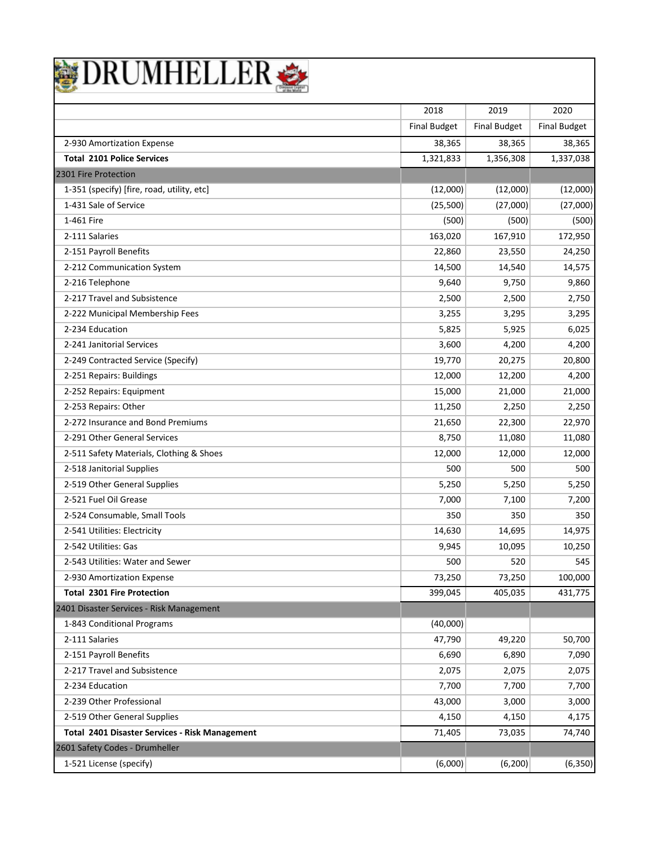|  | DRUMHELLER |  |  |
|--|------------|--|--|
|  |            |  |  |

|                                                       | 2018                | 2019                | 2020                |
|-------------------------------------------------------|---------------------|---------------------|---------------------|
|                                                       | <b>Final Budget</b> | <b>Final Budget</b> | <b>Final Budget</b> |
| 2-930 Amortization Expense                            | 38,365              | 38,365              | 38,365              |
| <b>Total 2101 Police Services</b>                     | 1,321,833           | 1,356,308           | 1,337,038           |
| 2301 Fire Protection                                  |                     |                     |                     |
| 1-351 (specify) [fire, road, utility, etc]            | (12,000)            | (12,000)            | (12,000)            |
| 1-431 Sale of Service                                 | (25,500)            | (27,000)            | (27,000)            |
| 1-461 Fire                                            | (500)               | (500)               | (500)               |
| 2-111 Salaries                                        | 163,020             | 167,910             | 172,950             |
| 2-151 Payroll Benefits                                | 22,860              | 23,550              | 24,250              |
| 2-212 Communication System                            | 14,500              | 14,540              | 14,575              |
| 2-216 Telephone                                       | 9,640               | 9,750               | 9,860               |
| 2-217 Travel and Subsistence                          | 2,500               | 2,500               | 2,750               |
| 2-222 Municipal Membership Fees                       | 3,255               | 3,295               | 3,295               |
| 2-234 Education                                       | 5,825               | 5,925               | 6,025               |
| 2-241 Janitorial Services                             | 3,600               | 4,200               | 4,200               |
| 2-249 Contracted Service (Specify)                    | 19,770              | 20,275              | 20,800              |
| 2-251 Repairs: Buildings                              | 12,000              | 12,200              | 4,200               |
| 2-252 Repairs: Equipment                              | 15,000              | 21,000              | 21,000              |
| 2-253 Repairs: Other                                  | 11,250              | 2,250               | 2,250               |
| 2-272 Insurance and Bond Premiums                     | 21,650              | 22,300              | 22,970              |
| 2-291 Other General Services                          | 8,750               | 11,080              | 11,080              |
| 2-511 Safety Materials, Clothing & Shoes              | 12,000              | 12,000              | 12,000              |
| 2-518 Janitorial Supplies                             | 500                 | 500                 | 500                 |
| 2-519 Other General Supplies                          | 5,250               | 5,250               | 5,250               |
| 2-521 Fuel Oil Grease                                 | 7,000               | 7,100               | 7,200               |
| 2-524 Consumable, Small Tools                         | 350                 | 350                 | 350                 |
| 2-541 Utilities: Electricity                          | 14,630              | 14,695              | 14,975              |
| 2-542 Utilities: Gas                                  | 9,945               | 10,095              | 10,250              |
| 2-543 Utilities: Water and Sewer                      | 500                 | 520                 | 545                 |
| 2-930 Amortization Expense                            | 73,250              | 73,250              | 100,000             |
| <b>Total 2301 Fire Protection</b>                     | 399,045             | 405,035             | 431,775             |
| 2401 Disaster Services - Risk Management              |                     |                     |                     |
| 1-843 Conditional Programs                            | (40,000)            |                     |                     |
| 2-111 Salaries                                        | 47,790              | 49,220              | 50,700              |
| 2-151 Payroll Benefits                                | 6,690               | 6,890               | 7,090               |
| 2-217 Travel and Subsistence                          | 2,075               | 2,075               | 2,075               |
| 2-234 Education                                       | 7,700               | 7,700               | 7,700               |
| 2-239 Other Professional                              | 43,000              | 3,000               | 3,000               |
| 2-519 Other General Supplies                          | 4,150               | 4,150               | 4,175               |
| <b>Total 2401 Disaster Services - Risk Management</b> | 71,405              | 73,035              | 74,740              |
| 2601 Safety Codes - Drumheller                        |                     |                     |                     |
| 1-521 License (specify)                               | (6,000)             | (6, 200)            | (6, 350)            |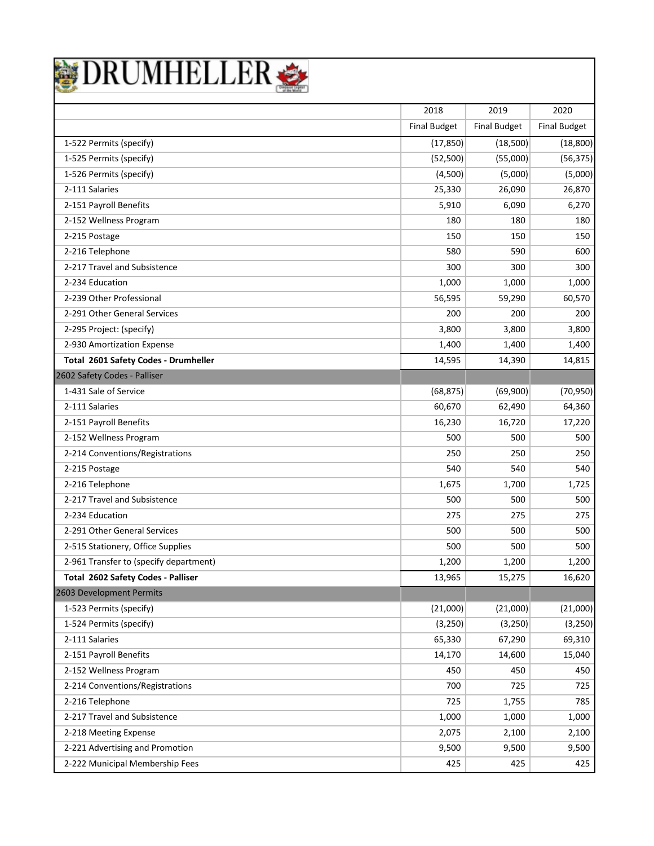

|                                        | 2018                | 2019                | 2020                |
|----------------------------------------|---------------------|---------------------|---------------------|
|                                        | <b>Final Budget</b> | <b>Final Budget</b> | <b>Final Budget</b> |
| 1-522 Permits (specify)                | (17, 850)           | (18,500)            | (18, 800)           |
| 1-525 Permits (specify)                | (52, 500)           | (55,000)            | (56, 375)           |
| 1-526 Permits (specify)                | (4,500)             | (5,000)             | (5,000)             |
| 2-111 Salaries                         | 25,330              | 26,090              | 26,870              |
| 2-151 Payroll Benefits                 | 5,910               | 6,090               | 6,270               |
| 2-152 Wellness Program                 | 180                 | 180                 | 180                 |
| 2-215 Postage                          | 150                 | 150                 | 150                 |
| 2-216 Telephone                        | 580                 | 590                 | 600                 |
| 2-217 Travel and Subsistence           | 300                 | 300                 | 300                 |
| 2-234 Education                        | 1,000               | 1,000               | 1,000               |
| 2-239 Other Professional               | 56,595              | 59,290              | 60,570              |
| 2-291 Other General Services           | 200                 | 200                 | 200                 |
| 2-295 Project: (specify)               | 3,800               | 3,800               | 3,800               |
| 2-930 Amortization Expense             | 1,400               | 1,400               | 1,400               |
| Total 2601 Safety Codes - Drumheller   | 14,595              | 14,390              | 14,815              |
| 2602 Safety Codes - Palliser           |                     |                     |                     |
| 1-431 Sale of Service                  | (68, 875)           | (69,900)            | (70, 950)           |
| 2-111 Salaries                         | 60,670              | 62,490              | 64,360              |
| 2-151 Payroll Benefits                 | 16,230              | 16,720              | 17,220              |
| 2-152 Wellness Program                 | 500                 | 500                 | 500                 |
| 2-214 Conventions/Registrations        | 250                 | 250                 | 250                 |
| 2-215 Postage                          | 540                 | 540                 | 540                 |
| 2-216 Telephone                        | 1,675               | 1,700               | 1,725               |
| 2-217 Travel and Subsistence           | 500                 | 500                 | 500                 |
| 2-234 Education                        | 275                 | 275                 | 275                 |
| 2-291 Other General Services           | 500                 | 500                 | 500                 |
| 2-515 Stationery, Office Supplies      | 500                 | 500                 | 500                 |
| 2-961 Transfer to (specify department) | 1,200               | 1,200               | 1,200               |
| Total 2602 Safety Codes - Palliser     | 13,965              | 15,275              | 16,620              |
| 2603 Development Permits               |                     |                     |                     |
| 1-523 Permits (specify)                | (21,000)            | (21,000)            | (21,000)            |
| 1-524 Permits (specify)                | (3,250)             | (3,250)             | (3, 250)            |
| 2-111 Salaries                         | 65,330              | 67,290              | 69,310              |
| 2-151 Payroll Benefits                 | 14,170              | 14,600              | 15,040              |
| 2-152 Wellness Program                 | 450                 | 450                 | 450                 |
| 2-214 Conventions/Registrations        | 700                 | 725                 | 725                 |
| 2-216 Telephone                        | 725                 | 1,755               | 785                 |
| 2-217 Travel and Subsistence           | 1,000               | 1,000               | 1,000               |
| 2-218 Meeting Expense                  | 2,075               | 2,100               | 2,100               |
| 2-221 Advertising and Promotion        | 9,500               | 9,500               | 9,500               |
| 2-222 Municipal Membership Fees        | 425                 | 425                 | 425                 |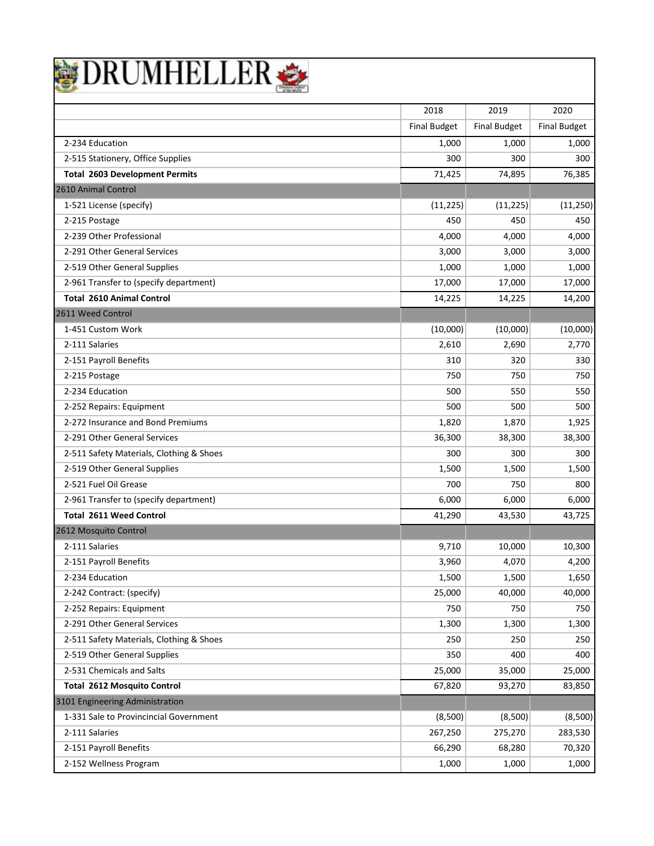|  | <b>DRUMHELLER</b> |  |
|--|-------------------|--|
|  |                   |  |

|                                          | 2018                | 2019                | 2020                |
|------------------------------------------|---------------------|---------------------|---------------------|
|                                          | <b>Final Budget</b> | <b>Final Budget</b> | <b>Final Budget</b> |
| 2-234 Education                          | 1,000               | 1,000               | 1,000               |
| 2-515 Stationery, Office Supplies        | 300                 | 300                 | 300                 |
| <b>Total 2603 Development Permits</b>    | 71,425              | 74,895              | 76,385              |
| 2610 Animal Control                      |                     |                     |                     |
| 1-521 License (specify)                  | (11, 225)           | (11, 225)           | (11, 250)           |
| 2-215 Postage                            | 450                 | 450                 | 450                 |
| 2-239 Other Professional                 | 4,000               | 4,000               | 4,000               |
| 2-291 Other General Services             | 3,000               | 3,000               | 3,000               |
| 2-519 Other General Supplies             | 1,000               | 1,000               | 1,000               |
| 2-961 Transfer to (specify department)   | 17,000              | 17,000              | 17,000              |
| <b>Total 2610 Animal Control</b>         | 14,225              | 14,225              | 14,200              |
| 2611 Weed Control                        |                     |                     |                     |
| 1-451 Custom Work                        | (10,000)            | (10,000)            | (10,000)            |
| 2-111 Salaries                           | 2,610               | 2,690               | 2,770               |
| 2-151 Payroll Benefits                   | 310                 | 320                 | 330                 |
| 2-215 Postage                            | 750                 | 750                 | 750                 |
| 2-234 Education                          | 500                 | 550                 | 550                 |
| 2-252 Repairs: Equipment                 | 500                 | 500                 | 500                 |
| 2-272 Insurance and Bond Premiums        | 1,820               | 1,870               | 1,925               |
| 2-291 Other General Services             | 36,300              | 38,300              | 38,300              |
| 2-511 Safety Materials, Clothing & Shoes | 300                 | 300                 | 300                 |
| 2-519 Other General Supplies             | 1,500               | 1,500               | 1,500               |
| 2-521 Fuel Oil Grease                    | 700                 | 750                 | 800                 |
| 2-961 Transfer to (specify department)   | 6,000               | 6,000               | 6,000               |
| <b>Total 2611 Weed Control</b>           | 41,290              | 43,530              | 43,725              |
| 2612 Mosquito Control                    |                     |                     |                     |
| 2-111 Salaries                           | 9,710               | 10,000              | 10,300              |
| 2-151 Payroll Benefits                   | 3,960               | 4,070               | 4,200               |
| 2-234 Education                          | 1,500               | 1,500               | 1,650               |
| 2-242 Contract: (specify)                | 25,000              | 40,000              | 40,000              |
| 2-252 Repairs: Equipment                 | 750                 | 750                 | 750                 |
| 2-291 Other General Services             | 1,300               | 1,300               | 1,300               |
| 2-511 Safety Materials, Clothing & Shoes | 250                 | 250                 | 250                 |
| 2-519 Other General Supplies             | 350                 | 400                 | 400                 |
| 2-531 Chemicals and Salts                | 25,000              | 35,000              | 25,000              |
| <b>Total 2612 Mosquito Control</b>       | 67,820              | 93,270              | 83,850              |
| 3101 Engineering Administration          |                     |                     |                     |
| 1-331 Sale to Provincincial Government   | (8,500)             | (8,500)             | (8,500)             |
| 2-111 Salaries                           | 267,250             | 275,270             | 283,530             |
| 2-151 Payroll Benefits                   | 66,290              | 68,280              | 70,320              |
| 2-152 Wellness Program                   | 1,000               | 1,000               | 1,000               |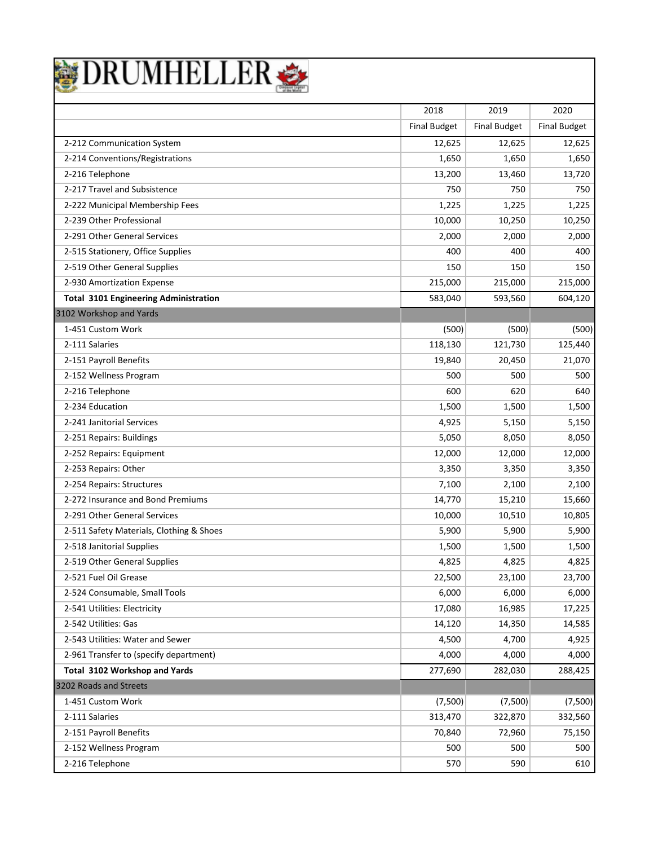|  | DRUMHELLER |  |  |
|--|------------|--|--|
|  |            |  |  |

|                                              | 2018                | 2019                | 2020                |
|----------------------------------------------|---------------------|---------------------|---------------------|
|                                              | <b>Final Budget</b> | <b>Final Budget</b> | <b>Final Budget</b> |
| 2-212 Communication System                   | 12,625              | 12,625              | 12,625              |
| 2-214 Conventions/Registrations              | 1,650               | 1,650               | 1,650               |
| 2-216 Telephone                              | 13,200              | 13,460              | 13,720              |
| 2-217 Travel and Subsistence                 | 750                 | 750                 | 750                 |
| 2-222 Municipal Membership Fees              | 1,225               | 1,225               | 1,225               |
| 2-239 Other Professional                     | 10,000              | 10,250              | 10,250              |
| 2-291 Other General Services                 | 2,000               | 2,000               | 2,000               |
| 2-515 Stationery, Office Supplies            | 400                 | 400                 | 400                 |
| 2-519 Other General Supplies                 | 150                 | 150                 | 150                 |
| 2-930 Amortization Expense                   | 215,000             | 215,000             | 215,000             |
| <b>Total 3101 Engineering Administration</b> | 583,040             | 593,560             | 604,120             |
| 3102 Workshop and Yards                      |                     |                     |                     |
| 1-451 Custom Work                            | (500)               | (500)               | (500)               |
| 2-111 Salaries                               | 118,130             | 121,730             | 125,440             |
| 2-151 Payroll Benefits                       | 19,840              | 20,450              | 21,070              |
| 2-152 Wellness Program                       | 500                 | 500                 | 500                 |
| 2-216 Telephone                              | 600                 | 620                 | 640                 |
| 2-234 Education                              | 1,500               | 1,500               | 1,500               |
| 2-241 Janitorial Services                    | 4,925               | 5,150               | 5,150               |
| 2-251 Repairs: Buildings                     | 5,050               | 8,050               | 8,050               |
| 2-252 Repairs: Equipment                     | 12,000              | 12,000              | 12,000              |
| 2-253 Repairs: Other                         | 3,350               | 3,350               | 3,350               |
| 2-254 Repairs: Structures                    | 7,100               | 2,100               | 2,100               |
| 2-272 Insurance and Bond Premiums            | 14,770              | 15,210              | 15,660              |
| 2-291 Other General Services                 | 10,000              | 10,510              | 10,805              |
| 2-511 Safety Materials, Clothing & Shoes     | 5,900               | 5,900               | 5,900               |
| 2-518 Janitorial Supplies                    | 1,500               | 1,500               | 1,500               |
| 2-519 Other General Supplies                 | 4,825               | 4,825               | 4,825               |
| 2-521 Fuel Oil Grease                        | 22,500              | 23,100              | 23,700              |
| 2-524 Consumable, Small Tools                | 6,000               | 6,000               | 6,000               |
| 2-541 Utilities: Electricity                 | 17,080              | 16,985              | 17,225              |
| 2-542 Utilities: Gas                         | 14,120              | 14,350              | 14,585              |
| 2-543 Utilities: Water and Sewer             | 4,500               | 4,700               | 4,925               |
| 2-961 Transfer to (specify department)       | 4,000               | 4,000               | 4,000               |
| Total 3102 Workshop and Yards                | 277,690             | 282,030             | 288,425             |
| 3202 Roads and Streets                       |                     |                     |                     |
| 1-451 Custom Work                            | (7,500)             | (7,500)             | (7,500)             |
| 2-111 Salaries                               | 313,470             | 322,870             | 332,560             |
| 2-151 Payroll Benefits                       | 70,840              | 72,960              | 75,150              |
| 2-152 Wellness Program                       | 500                 | 500                 | 500                 |
| 2-216 Telephone                              | 570                 | 590                 | 610                 |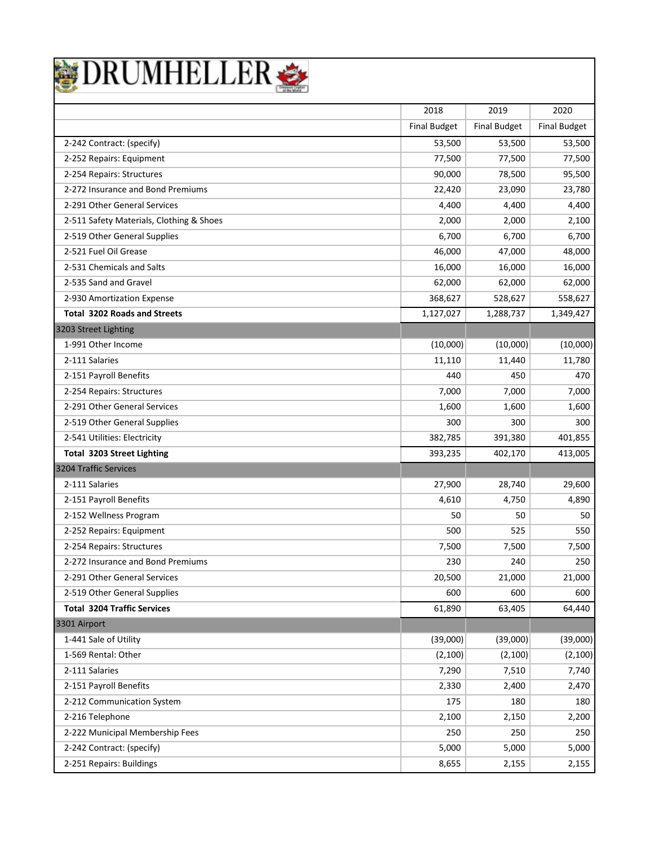|  | DRUMHELLER |  |  |
|--|------------|--|--|
|  |            |  |  |

|                                          | 2018                | 2019                | 2020                |
|------------------------------------------|---------------------|---------------------|---------------------|
|                                          | <b>Final Budget</b> | <b>Final Budget</b> | <b>Final Budget</b> |
| 2-242 Contract: (specify)                | 53,500              | 53,500              | 53,500              |
| 2-252 Repairs: Equipment                 | 77,500              | 77,500              | 77,500              |
| 2-254 Repairs: Structures                | 90,000              | 78,500              | 95,500              |
| 2-272 Insurance and Bond Premiums        | 22,420              | 23,090              | 23,780              |
| 2-291 Other General Services             | 4,400               | 4,400               | 4,400               |
| 2-511 Safety Materials, Clothing & Shoes | 2,000               | 2,000               | 2,100               |
| 2-519 Other General Supplies             | 6,700               | 6,700               | 6,700               |
| 2-521 Fuel Oil Grease                    | 46,000              | 47,000              | 48,000              |
| 2-531 Chemicals and Salts                | 16,000              | 16,000              | 16,000              |
| 2-535 Sand and Gravel                    | 62,000              | 62,000              | 62,000              |
| 2-930 Amortization Expense               | 368,627             | 528,627             | 558,627             |
| <b>Total 3202 Roads and Streets</b>      | 1,127,027           | 1,288,737           | 1,349,427           |
| 3203 Street Lighting                     |                     |                     |                     |
| 1-991 Other Income                       | (10,000)            | (10,000)            | (10,000)            |
| 2-111 Salaries                           | 11,110              | 11,440              | 11,780              |
| 2-151 Payroll Benefits                   | 440                 | 450                 | 470                 |
| 2-254 Repairs: Structures                | 7,000               | 7,000               | 7,000               |
| 2-291 Other General Services             | 1,600               | 1,600               | 1,600               |
| 2-519 Other General Supplies             | 300                 | 300                 | 300                 |
| 2-541 Utilities: Electricity             | 382,785             | 391,380             | 401,855             |
| <b>Total 3203 Street Lighting</b>        | 393,235             | 402,170             | 413,005             |
| 3204 Traffic Services                    |                     |                     |                     |
| 2-111 Salaries                           | 27,900              | 28,740              | 29,600              |
| 2-151 Payroll Benefits                   | 4,610               | 4,750               | 4,890               |
| 2-152 Wellness Program                   | 50                  | 50                  | 50                  |
| 2-252 Repairs: Equipment                 | 500                 | 525                 | 550                 |
| 2-254 Repairs: Structures                | 7,500               | 7,500               | 7,500               |
| 2-272 Insurance and Bond Premiums        | 230                 | 240                 | 250                 |
| 2-291 Other General Services             | 20,500              | 21,000              | 21,000              |
| 2-519 Other General Supplies             | 600                 | 600                 | 600                 |
| <b>Total 3204 Traffic Services</b>       | 61,890              | 63,405              | 64,440              |
| 3301 Airport                             |                     |                     |                     |
| 1-441 Sale of Utility                    | (39,000)            | (39,000)            | (39,000)            |
| 1-569 Rental: Other                      | (2, 100)            | (2, 100)            | (2, 100)            |
| 2-111 Salaries                           | 7,290               | 7,510               | 7,740               |
| 2-151 Payroll Benefits                   | 2,330               | 2,400               | 2,470               |
| 2-212 Communication System               | 175                 | 180                 | 180                 |
| 2-216 Telephone                          | 2,100               | 2,150               | 2,200               |
| 2-222 Municipal Membership Fees          | 250                 | 250                 | 250                 |
| 2-242 Contract: (specify)                | 5,000               | 5,000               | 5,000               |
| 2-251 Repairs: Buildings                 | 8,655               | 2,155               | 2,155               |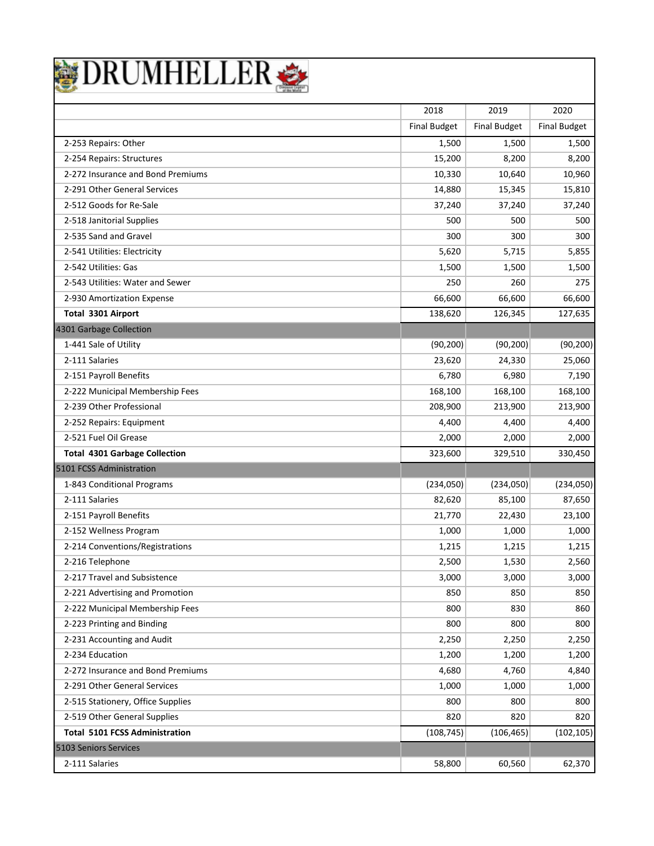| DRUMHELLER |
|------------|
|------------|

|                                       | 2018                | 2019                | 2020                |
|---------------------------------------|---------------------|---------------------|---------------------|
|                                       | <b>Final Budget</b> | <b>Final Budget</b> | <b>Final Budget</b> |
| 2-253 Repairs: Other                  | 1,500               | 1,500               | 1,500               |
| 2-254 Repairs: Structures             | 15,200              | 8,200               | 8,200               |
| 2-272 Insurance and Bond Premiums     | 10,330              | 10,640              | 10,960              |
| 2-291 Other General Services          | 14,880              | 15,345              | 15,810              |
| 2-512 Goods for Re-Sale               | 37,240              | 37,240              | 37,240              |
| 2-518 Janitorial Supplies             | 500                 | 500                 | 500                 |
| 2-535 Sand and Gravel                 | 300                 | 300                 | 300                 |
| 2-541 Utilities: Electricity          | 5,620               | 5,715               | 5,855               |
| 2-542 Utilities: Gas                  | 1,500               | 1,500               | 1,500               |
| 2-543 Utilities: Water and Sewer      | 250                 | 260                 | 275                 |
| 2-930 Amortization Expense            | 66,600              | 66,600              | 66,600              |
| Total 3301 Airport                    | 138,620             | 126,345             | 127,635             |
| 4301 Garbage Collection               |                     |                     |                     |
| 1-441 Sale of Utility                 | (90, 200)           | (90, 200)           | (90, 200)           |
| 2-111 Salaries                        | 23,620              | 24,330              | 25,060              |
| 2-151 Payroll Benefits                | 6,780               | 6,980               | 7,190               |
| 2-222 Municipal Membership Fees       | 168,100             | 168,100             | 168,100             |
| 2-239 Other Professional              | 208,900             | 213,900             | 213,900             |
| 2-252 Repairs: Equipment              | 4,400               | 4,400               | 4,400               |
| 2-521 Fuel Oil Grease                 | 2,000               | 2,000               | 2,000               |
| <b>Total 4301 Garbage Collection</b>  | 323,600             | 329,510             | 330,450             |
| 5101 FCSS Administration              |                     |                     |                     |
| 1-843 Conditional Programs            | (234,050)           | (234,050)           | (234,050)           |
| 2-111 Salaries                        | 82,620              | 85,100              | 87,650              |
| 2-151 Payroll Benefits                | 21,770              | 22,430              | 23,100              |
| 2-152 Wellness Program                | 1,000               | 1,000               | 1,000               |
| 2-214 Conventions/Registrations       | 1,215               | 1,215               | 1,215               |
| 2-216 Telephone                       | 2,500               | 1,530               | 2,560               |
| 2-217 Travel and Subsistence          | 3,000               | 3,000               | 3,000               |
| 2-221 Advertising and Promotion       | 850                 | 850                 | 850                 |
| 2-222 Municipal Membership Fees       | 800                 | 830                 | 860                 |
| 2-223 Printing and Binding            | 800                 | 800                 | 800                 |
| 2-231 Accounting and Audit            | 2,250               | 2,250               | 2,250               |
| 2-234 Education                       | 1,200               | 1,200               | 1,200               |
| 2-272 Insurance and Bond Premiums     | 4,680               | 4,760               | 4,840               |
| 2-291 Other General Services          | 1,000               | 1,000               | 1,000               |
| 2-515 Stationery, Office Supplies     | 800                 | 800                 | 800                 |
| 2-519 Other General Supplies          | 820                 | 820                 | 820                 |
| <b>Total 5101 FCSS Administration</b> | (108, 745)          | (106, 465)          | (102, 105)          |
| 5103 Seniors Services                 |                     |                     |                     |
| 2-111 Salaries                        | 58,800              | 60,560              | 62,370              |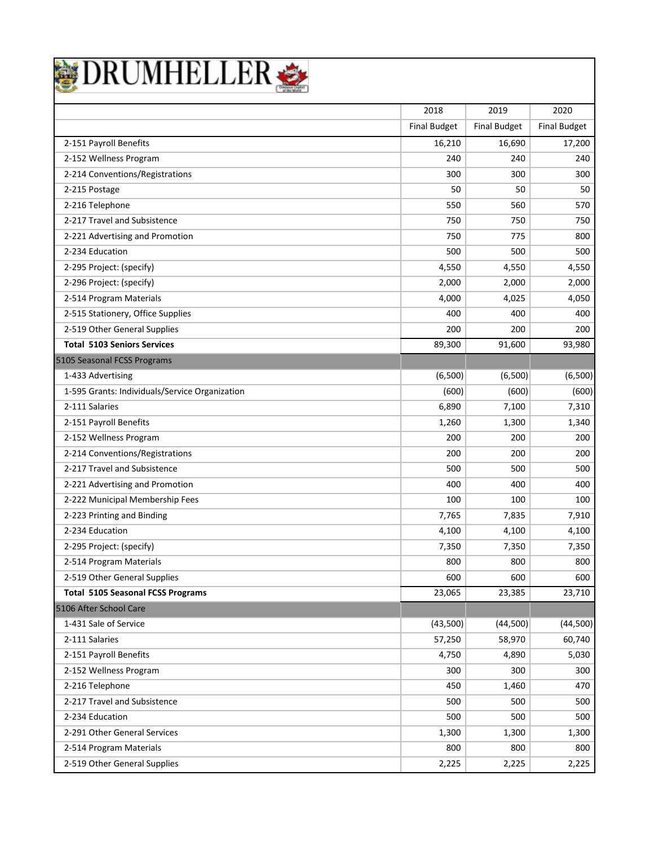|  | DRUMHELLER |  |  |
|--|------------|--|--|
|  |            |  |  |

|                                                | 2018                | 2019                | 2020                |
|------------------------------------------------|---------------------|---------------------|---------------------|
|                                                | <b>Final Budget</b> | <b>Final Budget</b> | <b>Final Budget</b> |
| 2-151 Payroll Benefits                         | 16,210              | 16,690              | 17,200              |
| 2-152 Wellness Program                         | 240                 | 240                 | 240                 |
| 2-214 Conventions/Registrations                | 300                 | 300                 | 300                 |
| 2-215 Postage                                  | 50                  | 50                  | 50                  |
| 2-216 Telephone                                | 550                 | 560                 | 570                 |
| 2-217 Travel and Subsistence                   | 750                 | 750                 | 750                 |
| 2-221 Advertising and Promotion                | 750                 | 775                 | 800                 |
| 2-234 Education                                | 500                 | 500                 | 500                 |
| 2-295 Project: (specify)                       | 4,550               | 4,550               | 4,550               |
| 2-296 Project: (specify)                       | 2,000               | 2,000               | 2,000               |
| 2-514 Program Materials                        | 4,000               | 4,025               | 4,050               |
| 2-515 Stationery, Office Supplies              | 400                 | 400                 | 400                 |
| 2-519 Other General Supplies                   | 200                 | 200                 | 200                 |
| <b>Total 5103 Seniors Services</b>             | 89,300              | 91,600              | 93,980              |
| 5105 Seasonal FCSS Programs                    |                     |                     |                     |
| 1-433 Advertising                              | (6,500)             | (6,500)             | (6,500)             |
| 1-595 Grants: Individuals/Service Organization | (600)               | (600)               | (600)               |
| 2-111 Salaries                                 | 6,890               | 7,100               | 7,310               |
| 2-151 Payroll Benefits                         | 1,260               | 1,300               | 1,340               |
| 2-152 Wellness Program                         | 200                 | 200                 | 200                 |
| 2-214 Conventions/Registrations                | 200                 | 200                 | 200                 |
| 2-217 Travel and Subsistence                   | 500                 | 500                 | 500                 |
| 2-221 Advertising and Promotion                | 400                 | 400                 | 400                 |
| 2-222 Municipal Membership Fees                | 100                 | 100                 | 100                 |
| 2-223 Printing and Binding                     | 7,765               | 7,835               | 7,910               |
| 2-234 Education                                | 4,100               | 4,100               | 4,100               |
| 2-295 Project: (specify)                       | 7,350               | 7,350               | 7,350               |
| 2-514 Program Materials                        | 800                 | 800                 | 800                 |
| 2-519 Other General Supplies                   | 600                 | 600                 | 600                 |
| <b>Total 5105 Seasonal FCSS Programs</b>       | 23,065              | 23,385              | 23,710              |
| 5106 After School Care                         |                     |                     |                     |
| 1-431 Sale of Service                          | (43,500)            | (44,500)            | (44,500)            |
| 2-111 Salaries                                 | 57,250              | 58,970              | 60,740              |
| 2-151 Payroll Benefits                         | 4,750               | 4,890               | 5,030               |
| 2-152 Wellness Program                         | 300                 | 300                 | 300                 |
| 2-216 Telephone                                | 450                 | 1,460               | 470                 |
| 2-217 Travel and Subsistence                   | 500                 | 500                 | 500                 |
| 2-234 Education                                | 500                 | 500                 | 500                 |
| 2-291 Other General Services                   | 1,300               | 1,300               | 1,300               |
| 2-514 Program Materials                        | 800                 | 800                 | 800                 |
| 2-519 Other General Supplies                   | 2,225               | 2,225               | 2,225               |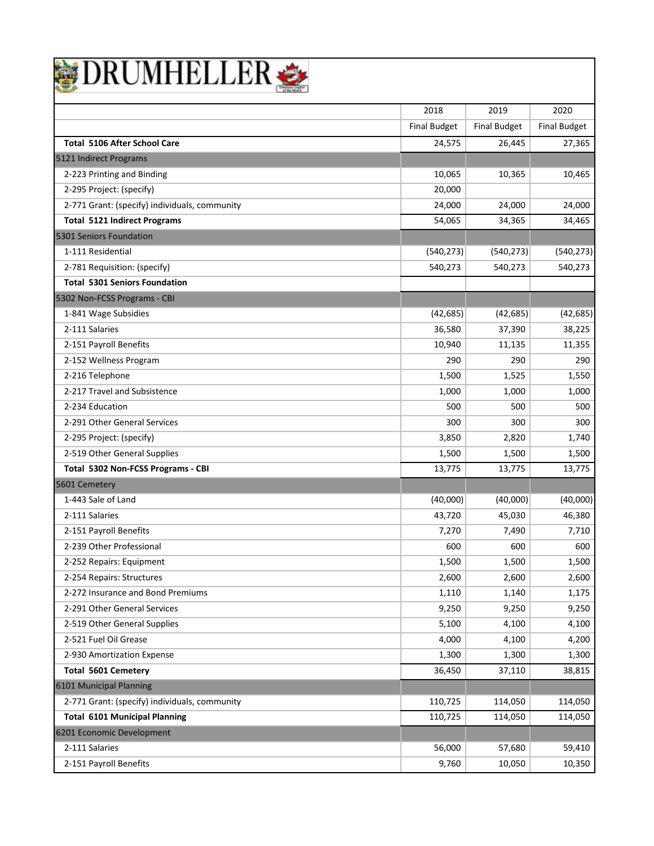| BRUMHELLER |  |
|------------|--|
|------------|--|

|                                               | 2018                | 2019                | 2020                |
|-----------------------------------------------|---------------------|---------------------|---------------------|
|                                               | <b>Final Budget</b> | <b>Final Budget</b> | <b>Final Budget</b> |
| <b>Total 5106 After School Care</b>           | 24,575              | 26,445              | 27,365              |
| 5121 Indirect Programs                        |                     |                     |                     |
| 2-223 Printing and Binding                    | 10,065              | 10,365              | 10,465              |
| 2-295 Project: (specify)                      | 20,000              |                     |                     |
| 2-771 Grant: (specify) individuals, community | 24,000              | 24,000              | 24,000              |
| <b>Total 5121 Indirect Programs</b>           | 54,065              | 34,365              | 34,465              |
| 5301 Seniors Foundation                       |                     |                     |                     |
| 1-111 Residential                             | (540, 273)          | (540, 273)          | (540, 273)          |
| 2-781 Requisition: (specify)                  | 540,273             | 540,273             | 540,273             |
| <b>Total 5301 Seniors Foundation</b>          |                     |                     |                     |
| 5302 Non-FCSS Programs - CBI                  |                     |                     |                     |
| 1-841 Wage Subsidies                          | (42, 685)           | (42, 685)           | (42, 685)           |
| 2-111 Salaries                                | 36,580              | 37,390              | 38,225              |
| 2-151 Payroll Benefits                        | 10,940              | 11,135              | 11,355              |
| 2-152 Wellness Program                        | 290                 | 290                 | 290                 |
| 2-216 Telephone                               | 1,500               | 1,525               | 1,550               |
| 2-217 Travel and Subsistence                  | 1,000               | 1,000               | 1,000               |
| 2-234 Education                               | 500                 | 500                 | 500                 |
| 2-291 Other General Services                  | 300                 | 300                 | 300                 |
| 2-295 Project: (specify)                      | 3,850               | 2,820               | 1,740               |
| 2-519 Other General Supplies                  | 1,500               | 1,500               | 1,500               |
| Total 5302 Non-FCSS Programs - CBI            | 13,775              | 13,775              | 13,775              |
| 5601 Cemetery                                 |                     |                     |                     |
| 1-443 Sale of Land                            | (40,000)            | (40,000)            | (40,000)            |
| 2-111 Salaries                                | 43,720              | 45,030              | 46,380              |
| 2-151 Payroll Benefits                        | 7,270               | 7,490               | 7,710               |
| 2-239 Other Professional                      | 600                 | 600                 | 600                 |
| 2-252 Repairs: Equipment                      | 1,500               | 1,500               | 1,500               |
| 2-254 Repairs: Structures                     | 2,600               | 2,600               | 2,600               |
| 2-272 Insurance and Bond Premiums             | 1,110               | 1,140               | 1,175               |
| 2-291 Other General Services                  | 9,250               | 9,250               | 9,250               |
| 2-519 Other General Supplies                  | 5,100               | 4,100               | 4,100               |
| 2-521 Fuel Oil Grease                         | 4,000               | 4,100               | 4,200               |
| 2-930 Amortization Expense                    | 1,300               | 1,300               | 1,300               |
| <b>Total 5601 Cemetery</b>                    | 36,450              | 37,110              | 38,815              |
| 6101 Municipal Planning                       |                     |                     |                     |
| 2-771 Grant: (specify) individuals, community | 110,725             | 114,050             | 114,050             |
| <b>Total 6101 Municipal Planning</b>          | 110,725             | 114,050             | 114,050             |
| 6201 Economic Development                     |                     |                     |                     |
| 2-111 Salaries                                | 56,000              | 57,680              | 59,410              |
| 2-151 Payroll Benefits                        | 9,760               | 10,050              | 10,350              |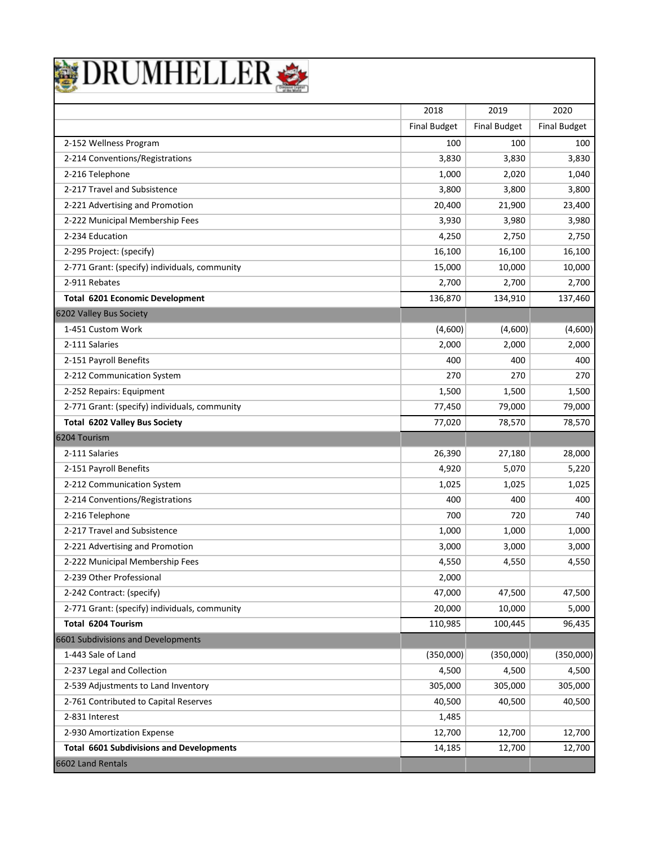|  |  | <b>DRUMHELLER</b> |  |
|--|--|-------------------|--|
|  |  |                   |  |

|                                                 | 2018                | 2019                | 2020                |
|-------------------------------------------------|---------------------|---------------------|---------------------|
|                                                 | <b>Final Budget</b> | <b>Final Budget</b> | <b>Final Budget</b> |
| 2-152 Wellness Program                          | 100                 | 100                 | 100                 |
| 2-214 Conventions/Registrations                 | 3,830               | 3,830               | 3,830               |
| 2-216 Telephone                                 | 1,000               | 2,020               | 1,040               |
| 2-217 Travel and Subsistence                    | 3,800               | 3,800               | 3,800               |
| 2-221 Advertising and Promotion                 | 20,400              | 21,900              | 23,400              |
| 2-222 Municipal Membership Fees                 | 3,930               | 3,980               | 3,980               |
| 2-234 Education                                 | 4,250               | 2,750               | 2,750               |
| 2-295 Project: (specify)                        | 16,100              | 16,100              | 16,100              |
| 2-771 Grant: (specify) individuals, community   | 15,000              | 10,000              | 10,000              |
| 2-911 Rebates                                   | 2,700               | 2,700               | 2,700               |
| <b>Total 6201 Economic Development</b>          | 136,870             | 134,910             | 137,460             |
| 6202 Valley Bus Society                         |                     |                     |                     |
| 1-451 Custom Work                               | (4,600)             | (4,600)             | (4,600)             |
| 2-111 Salaries                                  | 2,000               | 2,000               | 2,000               |
| 2-151 Payroll Benefits                          | 400                 | 400                 | 400                 |
| 2-212 Communication System                      | 270                 | 270                 | 270                 |
| 2-252 Repairs: Equipment                        | 1,500               | 1,500               | 1,500               |
| 2-771 Grant: (specify) individuals, community   | 77,450              | 79,000              | 79,000              |
| Total 6202 Valley Bus Society                   | 77,020              | 78,570              | 78,570              |
| 6204 Tourism                                    |                     |                     |                     |
| 2-111 Salaries                                  | 26,390              | 27,180              | 28,000              |
| 2-151 Payroll Benefits                          | 4,920               | 5,070               | 5,220               |
| 2-212 Communication System                      | 1,025               | 1,025               | 1,025               |
| 2-214 Conventions/Registrations                 | 400                 | 400                 | 400                 |
| 2-216 Telephone                                 | 700                 | 720                 | 740                 |
| 2-217 Travel and Subsistence                    | 1,000               | 1,000               | 1,000               |
| 2-221 Advertising and Promotion                 | 3,000               | 3,000               | 3,000               |
| 2-222 Municipal Membership Fees                 | 4,550               | 4,550               | 4,550               |
| 2-239 Other Professional                        | 2,000               |                     |                     |
| 2-242 Contract: (specify)                       | 47,000              | 47,500              | 47,500              |
| 2-771 Grant: (specify) individuals, community   | 20,000              | 10,000              | 5,000               |
| Total 6204 Tourism                              | 110,985             | 100,445             | 96,435              |
| 6601 Subdivisions and Developments              |                     |                     |                     |
| 1-443 Sale of Land                              | (350,000)           | (350,000)           | (350,000)           |
| 2-237 Legal and Collection                      | 4,500               | 4,500               | 4,500               |
| 2-539 Adjustments to Land Inventory             | 305,000             | 305,000             | 305,000             |
| 2-761 Contributed to Capital Reserves           | 40,500              | 40,500              | 40,500              |
| 2-831 Interest                                  | 1,485               |                     |                     |
| 2-930 Amortization Expense                      | 12,700              | 12,700              | 12,700              |
| <b>Total 6601 Subdivisions and Developments</b> | 14,185              | 12,700              | 12,700              |
| 6602 Land Rentals                               |                     |                     |                     |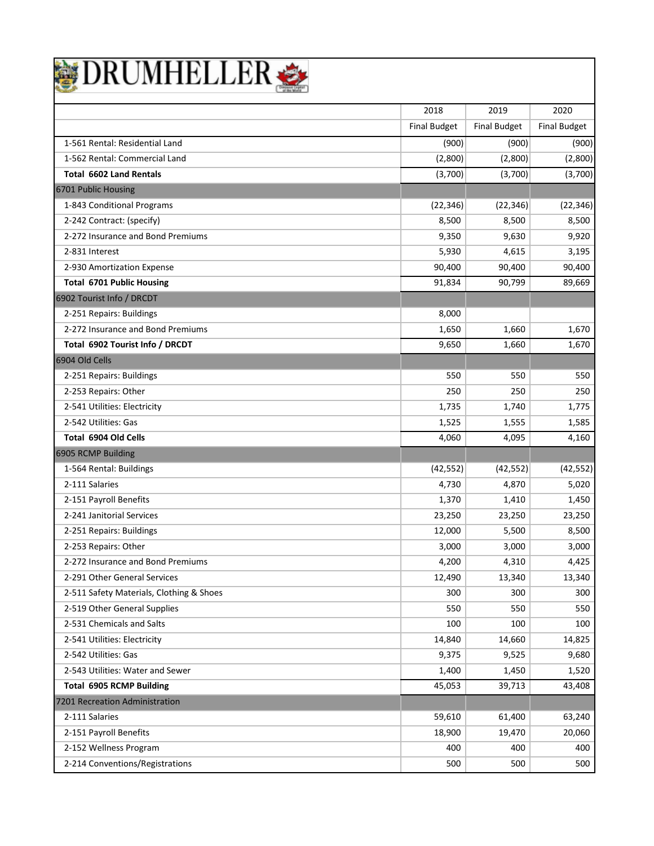

|                                          | 2018                | 2019                | 2020                |
|------------------------------------------|---------------------|---------------------|---------------------|
|                                          | <b>Final Budget</b> | <b>Final Budget</b> | <b>Final Budget</b> |
| 1-561 Rental: Residential Land           | (900)               | (900)               | (900)               |
| 1-562 Rental: Commercial Land            | (2,800)             | (2,800)             | (2,800)             |
| <b>Total 6602 Land Rentals</b>           | (3,700)             | (3,700)             | (3,700)             |
| 6701 Public Housing                      |                     |                     |                     |
| 1-843 Conditional Programs               | (22, 346)           | (22, 346)           | (22, 346)           |
| 2-242 Contract: (specify)                | 8,500               | 8,500               | 8,500               |
| 2-272 Insurance and Bond Premiums        | 9,350               | 9,630               | 9,920               |
| 2-831 Interest                           | 5,930               | 4,615               | 3,195               |
| 2-930 Amortization Expense               | 90,400              | 90,400              | 90,400              |
| <b>Total 6701 Public Housing</b>         | 91,834              | 90,799              | 89,669              |
| 6902 Tourist Info / DRCDT                |                     |                     |                     |
| 2-251 Repairs: Buildings                 | 8,000               |                     |                     |
| 2-272 Insurance and Bond Premiums        | 1,650               | 1,660               | 1,670               |
| Total 6902 Tourist Info / DRCDT          | 9,650               | 1,660               | 1,670               |
| 6904 Old Cells                           |                     |                     |                     |
| 2-251 Repairs: Buildings                 | 550                 | 550                 | 550                 |
| 2-253 Repairs: Other                     | 250                 | 250                 | 250                 |
| 2-541 Utilities: Electricity             | 1,735               | 1,740               | 1,775               |
| 2-542 Utilities: Gas                     | 1,525               | 1,555               | 1,585               |
| Total 6904 Old Cells                     | 4,060               | 4,095               | 4,160               |
| 6905 RCMP Building                       |                     |                     |                     |
| 1-564 Rental: Buildings                  | (42, 552)           | (42, 552)           | (42, 552)           |
| 2-111 Salaries                           | 4,730               | 4,870               | 5,020               |
| 2-151 Payroll Benefits                   | 1,370               | 1,410               | 1,450               |
| 2-241 Janitorial Services                | 23,250              | 23,250              | 23,250              |
| 2-251 Repairs: Buildings                 | 12,000              | 5,500               | 8,500               |
| 2-253 Repairs: Other                     | 3,000               | 3,000               | 3,000               |
| 2-272 Insurance and Bond Premiums        | 4,200               | 4,310               | 4,425               |
| 2-291 Other General Services             | 12,490              | 13,340              | 13,340              |
| 2-511 Safety Materials, Clothing & Shoes | 300                 | 300                 | 300                 |
| 2-519 Other General Supplies             | 550                 | 550                 | 550                 |
| 2-531 Chemicals and Salts                | 100                 | 100                 | 100                 |
| 2-541 Utilities: Electricity             | 14,840              | 14,660              | 14,825              |
| 2-542 Utilities: Gas                     | 9,375               | 9,525               | 9,680               |
| 2-543 Utilities: Water and Sewer         | 1,400               | 1,450               | 1,520               |
| <b>Total 6905 RCMP Building</b>          | 45,053              | 39,713              | 43,408              |
| 7201 Recreation Administration           |                     |                     |                     |
| 2-111 Salaries                           | 59,610              | 61,400              | 63,240              |
| 2-151 Payroll Benefits                   | 18,900              | 19,470              | 20,060              |
| 2-152 Wellness Program                   | 400                 | 400                 | 400                 |
| 2-214 Conventions/Registrations          | 500                 | 500                 | 500                 |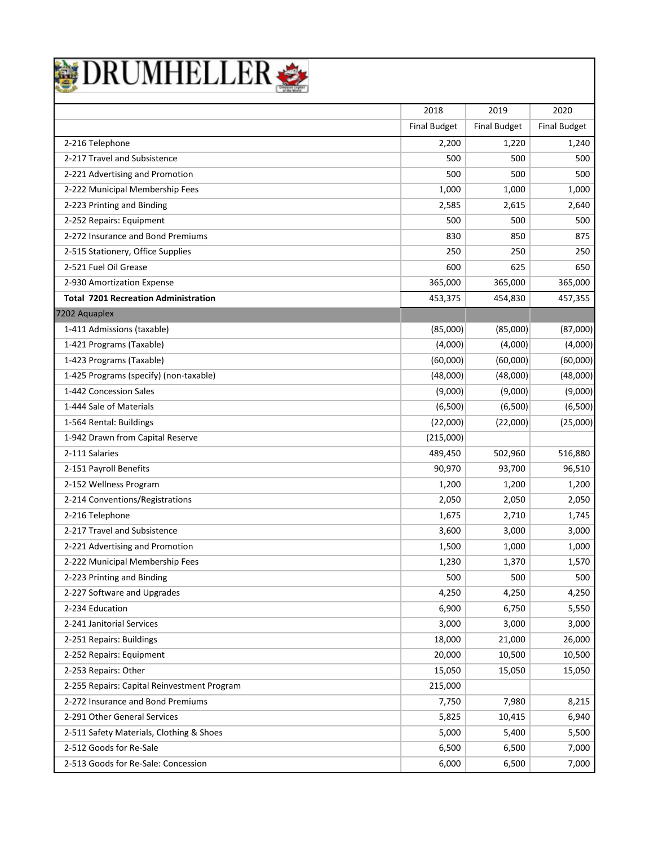|  | DRUMHELLER |  |  |
|--|------------|--|--|
|  |            |  |  |

|                                             | 2018                | 2019                | 2020                |
|---------------------------------------------|---------------------|---------------------|---------------------|
|                                             | <b>Final Budget</b> | <b>Final Budget</b> | <b>Final Budget</b> |
| 2-216 Telephone                             | 2,200               | 1,220               | 1,240               |
| 2-217 Travel and Subsistence                | 500                 | 500                 | 500                 |
| 2-221 Advertising and Promotion             | 500                 | 500                 | 500                 |
| 2-222 Municipal Membership Fees             | 1,000               | 1,000               | 1,000               |
| 2-223 Printing and Binding                  | 2,585               | 2,615               | 2,640               |
| 2-252 Repairs: Equipment                    | 500                 | 500                 | 500                 |
| 2-272 Insurance and Bond Premiums           | 830                 | 850                 | 875                 |
| 2-515 Stationery, Office Supplies           | 250                 | 250                 | 250                 |
| 2-521 Fuel Oil Grease                       | 600                 | 625                 | 650                 |
| 2-930 Amortization Expense                  | 365,000             | 365,000             | 365,000             |
| <b>Total 7201 Recreation Administration</b> | 453,375             | 454,830             | 457,355             |
| 7202 Aquaplex                               |                     |                     |                     |
| 1-411 Admissions (taxable)                  | (85,000)            | (85,000)            | (87,000)            |
| 1-421 Programs (Taxable)                    | (4,000)             | (4,000)             | (4,000)             |
| 1-423 Programs (Taxable)                    | (60,000)            | (60,000)            | (60,000)            |
| 1-425 Programs (specify) (non-taxable)      | (48,000)            | (48,000)            | (48,000)            |
| 1-442 Concession Sales                      | (9,000)             | (9,000)             | (9,000)             |
| 1-444 Sale of Materials                     | (6,500)             | (6,500)             | (6,500)             |
| 1-564 Rental: Buildings                     | (22,000)            | (22,000)            | (25,000)            |
| 1-942 Drawn from Capital Reserve            | (215,000)           |                     |                     |
| 2-111 Salaries                              | 489,450             | 502,960             | 516,880             |
| 2-151 Payroll Benefits                      | 90,970              | 93,700              | 96,510              |
| 2-152 Wellness Program                      | 1,200               | 1,200               | 1,200               |
| 2-214 Conventions/Registrations             | 2,050               | 2,050               | 2,050               |
| 2-216 Telephone                             | 1,675               | 2,710               | 1,745               |
| 2-217 Travel and Subsistence                | 3,600               | 3,000               | 3,000               |
| 2-221 Advertising and Promotion             | 1,500               | 1,000               | 1,000               |
| 2-222 Municipal Membership Fees             | 1,230               | 1,370               | 1,570               |
| 2-223 Printing and Binding                  | 500                 | 500                 | 500                 |
| 2-227 Software and Upgrades                 | 4,250               | 4,250               | 4,250               |
| 2-234 Education                             | 6,900               | 6,750               | 5,550               |
| 2-241 Janitorial Services                   | 3,000               | 3,000               | 3,000               |
| 2-251 Repairs: Buildings                    | 18,000              | 21,000              | 26,000              |
| 2-252 Repairs: Equipment                    | 20,000              | 10,500              | 10,500              |
| 2-253 Repairs: Other                        | 15,050              | 15,050              | 15,050              |
| 2-255 Repairs: Capital Reinvestment Program | 215,000             |                     |                     |
| 2-272 Insurance and Bond Premiums           | 7,750               | 7,980               | 8,215               |
| 2-291 Other General Services                | 5,825               | 10,415              | 6,940               |
| 2-511 Safety Materials, Clothing & Shoes    | 5,000               | 5,400               | 5,500               |
| 2-512 Goods for Re-Sale                     | 6,500               | 6,500               | 7,000               |
| 2-513 Goods for Re-Sale: Concession         | 6,000               | 6,500               | 7,000               |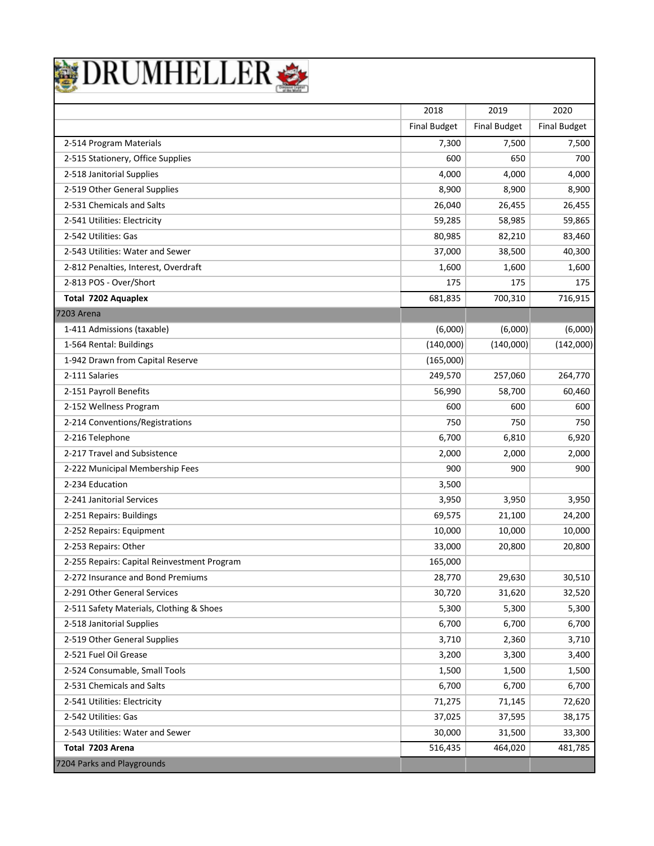

|                                             | 2018                | 2019                | 2020                |
|---------------------------------------------|---------------------|---------------------|---------------------|
|                                             | <b>Final Budget</b> | <b>Final Budget</b> | <b>Final Budget</b> |
| 2-514 Program Materials                     | 7,300               | 7,500               | 7,500               |
| 2-515 Stationery, Office Supplies           | 600                 | 650                 | 700                 |
| 2-518 Janitorial Supplies                   | 4,000               | 4,000               | 4,000               |
| 2-519 Other General Supplies                | 8,900               | 8,900               | 8,900               |
| 2-531 Chemicals and Salts                   | 26,040              | 26,455              | 26,455              |
| 2-541 Utilities: Electricity                | 59,285              | 58,985              | 59,865              |
| 2-542 Utilities: Gas                        | 80,985              | 82,210              | 83,460              |
| 2-543 Utilities: Water and Sewer            | 37,000              | 38,500              | 40,300              |
| 2-812 Penalties, Interest, Overdraft        | 1,600               | 1,600               | 1,600               |
| 2-813 POS - Over/Short                      | 175                 | 175                 | 175                 |
| Total 7202 Aquaplex                         | 681,835             | 700,310             | 716,915             |
| <b>7203 Arena</b>                           |                     |                     |                     |
| 1-411 Admissions (taxable)                  | (6,000)             | (6,000)             | (6,000)             |
| 1-564 Rental: Buildings                     | (140,000)           | (140,000)           | (142,000)           |
| 1-942 Drawn from Capital Reserve            | (165,000)           |                     |                     |
| 2-111 Salaries                              | 249,570             | 257,060             | 264,770             |
| 2-151 Payroll Benefits                      | 56,990              | 58,700              | 60,460              |
| 2-152 Wellness Program                      | 600                 | 600                 | 600                 |
| 2-214 Conventions/Registrations             | 750                 | 750                 | 750                 |
| 2-216 Telephone                             | 6,700               | 6,810               | 6,920               |
| 2-217 Travel and Subsistence                | 2,000               | 2,000               | 2,000               |
| 2-222 Municipal Membership Fees             | 900                 | 900                 | 900                 |
| 2-234 Education                             | 3,500               |                     |                     |
| 2-241 Janitorial Services                   | 3,950               | 3,950               | 3,950               |
| 2-251 Repairs: Buildings                    | 69,575              | 21,100              | 24,200              |
| 2-252 Repairs: Equipment                    | 10,000              | 10,000              | 10,000              |
| 2-253 Repairs: Other                        | 33,000              | 20,800              | 20,800              |
| 2-255 Repairs: Capital Reinvestment Program | 165,000             |                     |                     |
| 2-272 Insurance and Bond Premiums           | 28,770              | 29,630              | 30,510              |
| 2-291 Other General Services                | 30,720              | 31,620              | 32,520              |
| 2-511 Safety Materials, Clothing & Shoes    | 5,300               | 5,300               | 5,300               |
| 2-518 Janitorial Supplies                   | 6,700               | 6,700               | 6,700               |
| 2-519 Other General Supplies                | 3,710               | 2,360               | 3,710               |
| 2-521 Fuel Oil Grease                       | 3,200               | 3,300               | 3,400               |
| 2-524 Consumable, Small Tools               | 1,500               | 1,500               | 1,500               |
| 2-531 Chemicals and Salts                   | 6,700               | 6,700               | 6,700               |
| 2-541 Utilities: Electricity                | 71,275              | 71,145              | 72,620              |
| 2-542 Utilities: Gas                        | 37,025              | 37,595              | 38,175              |
| 2-543 Utilities: Water and Sewer            | 30,000              | 31,500              | 33,300              |
| Total 7203 Arena                            | 516,435             | 464,020             | 481,785             |
| 7204 Parks and Playgrounds                  |                     |                     |                     |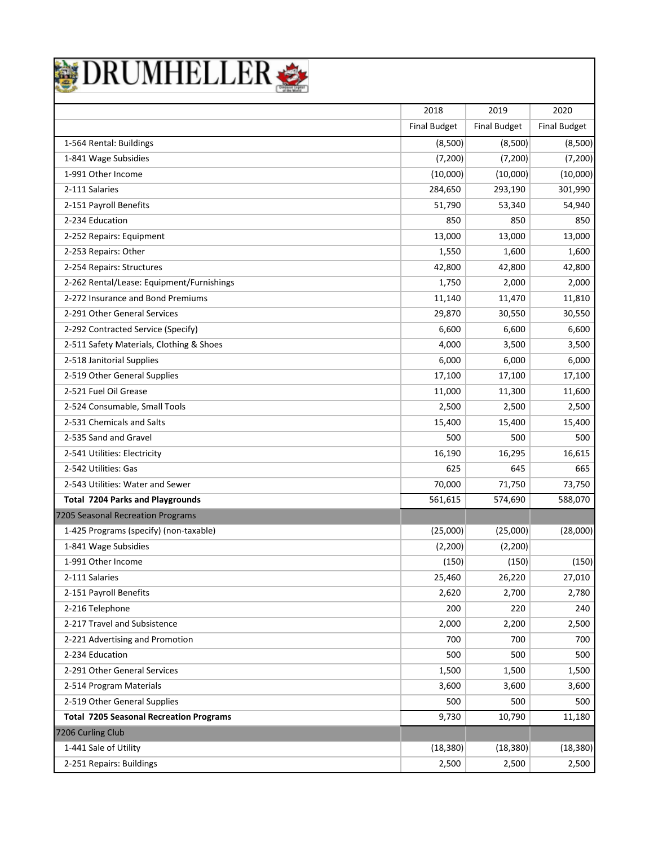

|                                                | 2018                | 2019                | 2020                |
|------------------------------------------------|---------------------|---------------------|---------------------|
|                                                | <b>Final Budget</b> | <b>Final Budget</b> | <b>Final Budget</b> |
| 1-564 Rental: Buildings                        | (8,500)             | (8,500)             | (8,500)             |
| 1-841 Wage Subsidies                           | (7, 200)            | (7, 200)            | (7, 200)            |
| 1-991 Other Income                             | (10,000)            | (10,000)            | (10,000)            |
| 2-111 Salaries                                 | 284,650             | 293,190             | 301,990             |
| 2-151 Payroll Benefits                         | 51,790              | 53,340              | 54,940              |
| 2-234 Education                                | 850                 | 850                 | 850                 |
| 2-252 Repairs: Equipment                       | 13,000              | 13,000              | 13,000              |
| 2-253 Repairs: Other                           | 1,550               | 1,600               | 1,600               |
| 2-254 Repairs: Structures                      | 42,800              | 42,800              | 42,800              |
| 2-262 Rental/Lease: Equipment/Furnishings      | 1,750               | 2,000               | 2,000               |
| 2-272 Insurance and Bond Premiums              | 11,140              | 11,470              | 11,810              |
| 2-291 Other General Services                   | 29,870              | 30,550              | 30,550              |
| 2-292 Contracted Service (Specify)             | 6,600               | 6,600               | 6,600               |
| 2-511 Safety Materials, Clothing & Shoes       | 4,000               | 3,500               | 3,500               |
| 2-518 Janitorial Supplies                      | 6,000               | 6,000               | 6,000               |
| 2-519 Other General Supplies                   | 17,100              | 17,100              | 17,100              |
| 2-521 Fuel Oil Grease                          | 11,000              | 11,300              | 11,600              |
| 2-524 Consumable, Small Tools                  | 2,500               | 2,500               | 2,500               |
| 2-531 Chemicals and Salts                      | 15,400              | 15,400              | 15,400              |
| 2-535 Sand and Gravel                          | 500                 | 500                 | 500                 |
| 2-541 Utilities: Electricity                   | 16,190              | 16,295              | 16,615              |
| 2-542 Utilities: Gas                           | 625                 | 645                 | 665                 |
| 2-543 Utilities: Water and Sewer               | 70,000              | 71,750              | 73,750              |
| <b>Total 7204 Parks and Playgrounds</b>        | 561,615             | 574,690             | 588,070             |
| 7205 Seasonal Recreation Programs              |                     |                     |                     |
| 1-425 Programs (specify) (non-taxable)         | (25,000)            | (25,000)            | (28,000)            |
| 1-841 Wage Subsidies                           | (2, 200)            | (2, 200)            |                     |
| 1-991 Other Income                             | (150)               | (150)               | (150)               |
| 2-111 Salaries                                 | 25,460              | 26,220              | 27,010              |
| 2-151 Payroll Benefits                         | 2,620               | 2,700               | 2,780               |
| 2-216 Telephone                                | 200                 | 220                 | 240                 |
| 2-217 Travel and Subsistence                   | 2,000               | 2,200               | 2,500               |
| 2-221 Advertising and Promotion                | 700                 | 700                 | 700                 |
| 2-234 Education                                | 500                 | 500                 | 500                 |
| 2-291 Other General Services                   | 1,500               | 1,500               | 1,500               |
| 2-514 Program Materials                        | 3,600               | 3,600               | 3,600               |
| 2-519 Other General Supplies                   | 500                 | 500                 | 500                 |
| <b>Total 7205 Seasonal Recreation Programs</b> | 9,730               | 10,790              | 11,180              |
| 7206 Curling Club                              |                     |                     |                     |
| 1-441 Sale of Utility                          | (18, 380)           | (18, 380)           | (18, 380)           |
| 2-251 Repairs: Buildings                       | 2,500               | 2,500               | 2,500               |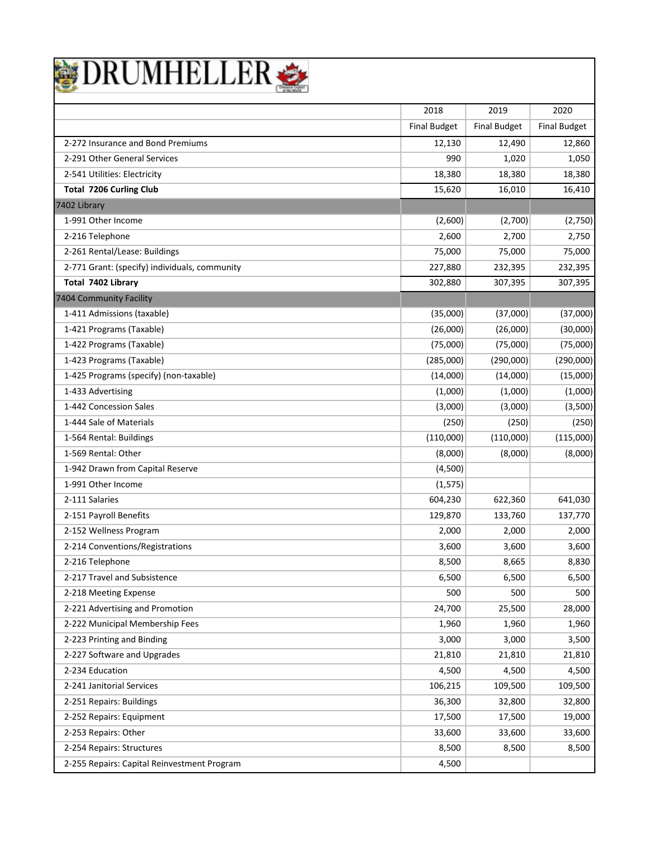| DRUMHELLER |
|------------|
|------------|

|                                               | 2018                | 2019                | 2020                |
|-----------------------------------------------|---------------------|---------------------|---------------------|
|                                               | <b>Final Budget</b> | <b>Final Budget</b> | <b>Final Budget</b> |
| 2-272 Insurance and Bond Premiums             | 12,130              | 12,490              | 12,860              |
| 2-291 Other General Services                  | 990                 | 1,020               | 1,050               |
| 2-541 Utilities: Electricity                  | 18,380              | 18,380              | 18,380              |
| <b>Total 7206 Curling Club</b>                | 15,620              | 16,010              | 16,410              |
| 7402 Library                                  |                     |                     |                     |
| 1-991 Other Income                            | (2,600)             | (2,700)             | (2,750)             |
| 2-216 Telephone                               | 2,600               | 2,700               | 2,750               |
| 2-261 Rental/Lease: Buildings                 | 75,000              | 75,000              | 75,000              |
| 2-771 Grant: (specify) individuals, community | 227,880             | 232,395             | 232,395             |
| Total 7402 Library                            | 302,880             | 307,395             | 307,395             |
| 7404 Community Facility                       |                     |                     |                     |
| 1-411 Admissions (taxable)                    | (35,000)            | (37,000)            | (37,000)            |
| 1-421 Programs (Taxable)                      | (26,000)            | (26,000)            | (30,000)            |
| 1-422 Programs (Taxable)                      | (75,000)            | (75,000)            | (75,000)            |
| 1-423 Programs (Taxable)                      | (285,000)           | (290,000)           | (290,000)           |
| 1-425 Programs (specify) (non-taxable)        | (14,000)            | (14,000)            | (15,000)            |
| 1-433 Advertising                             | (1,000)             | (1,000)             | (1,000)             |
| 1-442 Concession Sales                        | (3,000)             | (3,000)             | (3,500)             |
| 1-444 Sale of Materials                       | (250)               | (250)               | (250)               |
| 1-564 Rental: Buildings                       | (110,000)           | (110,000)           | (115,000)           |
| 1-569 Rental: Other                           | (8,000)             | (8,000)             | (8,000)             |
| 1-942 Drawn from Capital Reserve              | (4,500)             |                     |                     |
| 1-991 Other Income                            | (1, 575)            |                     |                     |
| 2-111 Salaries                                | 604,230             | 622,360             | 641,030             |
| 2-151 Payroll Benefits                        | 129,870             | 133,760             | 137,770             |
| 2-152 Wellness Program                        | 2,000               | 2,000               | 2,000               |
| 2-214 Conventions/Registrations               | 3,600               | 3,600               | 3,600               |
| 2-216 Telephone                               | 8,500               | 8,665               | 8,830               |
| 2-217 Travel and Subsistence                  | 6,500               | 6,500               | 6,500               |
| 2-218 Meeting Expense                         | 500                 | 500                 | 500                 |
| 2-221 Advertising and Promotion               | 24,700              | 25,500              | 28,000              |
| 2-222 Municipal Membership Fees               | 1,960               | 1,960               | 1,960               |
| 2-223 Printing and Binding                    | 3,000               | 3,000               | 3,500               |
| 2-227 Software and Upgrades                   | 21,810              | 21,810              | 21,810              |
| 2-234 Education                               | 4,500               | 4,500               | 4,500               |
| 2-241 Janitorial Services                     | 106,215             | 109,500             | 109,500             |
| 2-251 Repairs: Buildings                      | 36,300              | 32,800              | 32,800              |
| 2-252 Repairs: Equipment                      | 17,500              | 17,500              | 19,000              |
| 2-253 Repairs: Other                          | 33,600              | 33,600              | 33,600              |
| 2-254 Repairs: Structures                     | 8,500               | 8,500               | 8,500               |
| 2-255 Repairs: Capital Reinvestment Program   | 4,500               |                     |                     |